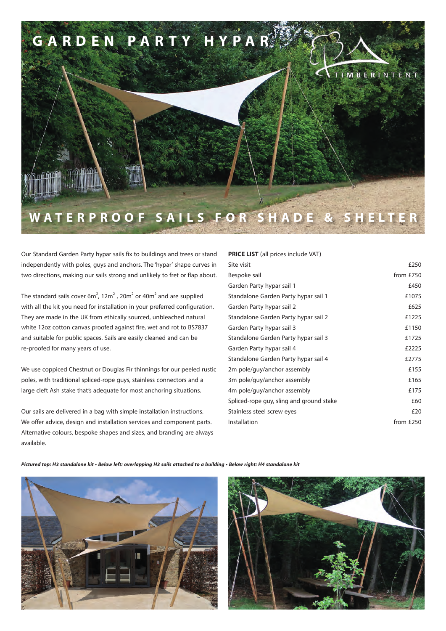

Our Standard Garden Party hypar sails fix to buildings and trees or stand independently with poles, guys and anchors. The 'hypar' shape curves in two directions, making our sails strong and unlikely to fret or flap about.

The standard sails cover 6m<sup>2</sup>, 12m<sup>2</sup>, 20m<sup>2</sup> or 40m<sup>2</sup> and are supplied with all the kit you need for installation in your preferred configuration. They are made in the UK from ethically sourced, unbleached natural white 12oz cotton canvas proofed against fire, wet and rot to BS7837 and suitable for public spaces. Sails are easily cleaned and can be re-proofed for many years of use.

We use coppiced Chestnut or Douglas Fir thinnings for our peeled rustic poles, with traditional spliced-rope guys, stainless connectors and a large cleft Ash stake that's adequate for most anchoring situations.

Our sails are delivered in a bag with simple installation instructions. We offer advice, design and installation services and component parts. Alternative colours, bespoke shapes and sizes, and branding are always available.

## **PRICE LIST** (all prices include VAT)

| Site visit                               | £250      |
|------------------------------------------|-----------|
| Bespoke sail                             | from £750 |
| Garden Party hypar sail 1                | £450      |
| Standalone Garden Party hypar sail 1     | £1075     |
| Garden Party hypar sail 2                | £625      |
| Standalone Garden Party hypar sail 2     | £1225     |
| Garden Party hypar sail 3                | £1150     |
| Standalone Garden Party hypar sail 3     | £1725     |
| Garden Party hypar sail 4                | £2225     |
| Standalone Garden Party hypar sail 4     | £2775     |
| 2m pole/guy/anchor assembly              | £155      |
| 3m pole/guy/anchor assembly              | £165      |
| 4m pole/guy/anchor assembly              | £175      |
| Spliced-rope guy, sling and ground stake | £60       |
| Stainless steel screw eyes               | £20       |
| Installation                             | from £250 |
|                                          |           |

**Pictured top: H3 standalone kit • Below left: overlapping H3 sails attached to a building • Below right: H4 standalone kit**